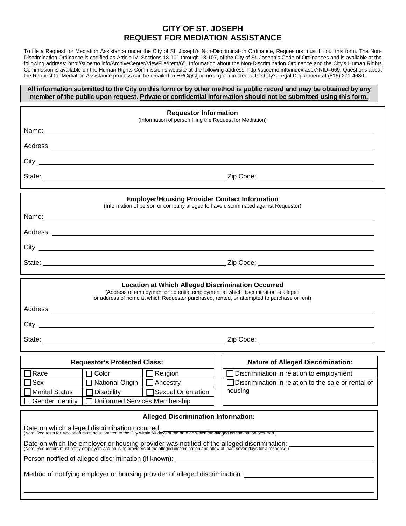## **CITY OF ST. JOSEPH REQUEST FOR MEDIATION ASSISTANCE**

To file a Request for Mediation Assistance under the City of St. Joseph's Non-Discrimination Ordinance, Requestors must fill out this form. The Non-Discrimination Ordinance is codified as Article IV, Sections 18-101 through 18-107, of the City of St. Joseph's Code of Ordinances and is available at the following address: http://stjoemo.info/ArchiveCenter/ViewFile/Item/65. Information about the Non-Discrimination Ordinance and the City's Human Rights Commission is available on the Human Rights Commission's website at the following address: http://stjoemo.info/index.aspx?NID=669. Questions about the Request for Mediation Assistance process can be emailed to HRC@stjoemo.org or directed to the City's Legal Department at (816) 271-4680.

## **All information submitted to the City on this form or by other method is public record and may be obtained by any member of the public upon request. Private or confidential information should not be submitted using this form.**

| <b>Requestor Information</b><br>(Information of person filing the Request for Mediation)                                                                                                                                                    |                                                                 |
|---------------------------------------------------------------------------------------------------------------------------------------------------------------------------------------------------------------------------------------------|-----------------------------------------------------------------|
|                                                                                                                                                                                                                                             |                                                                 |
|                                                                                                                                                                                                                                             |                                                                 |
|                                                                                                                                                                                                                                             |                                                                 |
|                                                                                                                                                                                                                                             |                                                                 |
| <b>Employer/Housing Provider Contact Information</b><br>(Information of person or company alleged to have discriminated against Requestor)                                                                                                  |                                                                 |
| Name: Name: Name: Name: Name: Name: Name: Name: Name: Name: Name: Name: Name: Name: Name: Name: Name: Name: Name: Name: Name: Name: Name: Name: Name: Name: Name: Name: Name: Name: Name: Name: Name: Name: Name: Name: Name:               |                                                                 |
|                                                                                                                                                                                                                                             |                                                                 |
|                                                                                                                                                                                                                                             |                                                                 |
|                                                                                                                                                                                                                                             |                                                                 |
| <b>Location at Which Alleged Discrimination Occurred</b><br>(Address of employment or potential employment at which discrimination is alleged<br>or address of home at which Requestor purchased, rented, or attempted to purchase or rent) |                                                                 |
|                                                                                                                                                                                                                                             |                                                                 |
|                                                                                                                                                                                                                                             |                                                                 |
| <b>Requestor's Protected Class:</b>                                                                                                                                                                                                         | <b>Nature of Alleged Discrimination:</b>                        |
| $\Box$ Religion<br><b>TRace</b><br>$\Box$ Color                                                                                                                                                                                             | Discrimination in relation to employment                        |
| Sex<br>□ National Origin   □ Ancestry<br>  □ Disability   □ Sexual Orientation<br><b>Marital Status</b><br>□ Uniformed Services Membership<br>Gender Identity                                                                               | □Discrimination in relation to the sale or rental of<br>housing |
| <b>Alleged Discrimination Information:</b>                                                                                                                                                                                                  |                                                                 |
| Date on which alleged discrimination occurred:<br>(Note: Requests for Mediation must be submitted to the City within 60 days of the date on which the alleged discrimination occurred.)                                                     |                                                                 |
| Date on which the employer or housing provider was notified of the alleged discrimination:<br>(Note: Requestors must notify employers and housing providers of the alleged discrimination and allow at least seven days for a res           |                                                                 |
| Person notified of alleged discrimination (if known):<br><u>and the state of the state of the state of the state of the state of the state of the state of the state of th</u>                                                              |                                                                 |
| Method of notifying employer or housing provider of alleged discrimination: _______________________                                                                                                                                         |                                                                 |